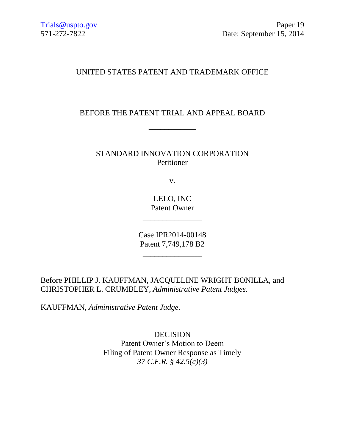# UNITED STATES PATENT AND TRADEMARK OFFICE

\_\_\_\_\_\_\_\_\_\_\_\_

BEFORE THE PATENT TRIAL AND APPEAL BOARD

\_\_\_\_\_\_\_\_\_\_\_\_

STANDARD INNOVATION CORPORATION Petitioner

v.

LELO, INC Patent Owner

\_\_\_\_\_\_\_\_\_\_\_\_\_\_\_

Case IPR2014-00148 Patent 7,749,178 B2

 $\overline{\phantom{a}}$  , and the set of the set of the set of the set of the set of the set of the set of the set of the set of the set of the set of the set of the set of the set of the set of the set of the set of the set of the s

Before PHILLIP J. KAUFFMAN, JACQUELINE WRIGHT BONILLA, and CHRISTOPHER L. CRUMBLEY, *Administrative Patent Judges.*

KAUFFMAN, *Administrative Patent Judge*.

DECISION Patent Owner's Motion to Deem Filing of Patent Owner Response as Timely *37 C.F.R. § 42.5(c)(3)*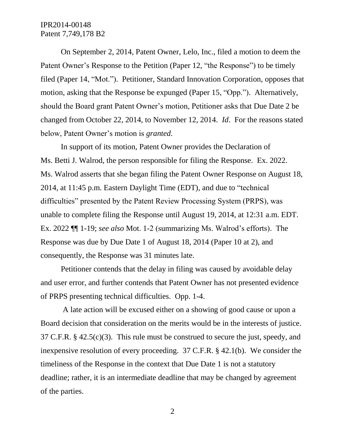#### IPR2014-00148 Patent 7,749,178 B2

On September 2, 2014, Patent Owner, Lelo, Inc., filed a motion to deem the Patent Owner's Response to the Petition (Paper 12, "the Response") to be timely filed (Paper 14, "Mot."). Petitioner, Standard Innovation Corporation, opposes that motion, asking that the Response be expunged (Paper 15, "Opp."). Alternatively, should the Board grant Patent Owner's motion, Petitioner asks that Due Date 2 be changed from October 22, 2014, to November 12, 2014. *Id*. For the reasons stated below, Patent Owner's motion is *granted*.

In support of its motion, Patent Owner provides the Declaration of Ms. Betti J. Walrod, the person responsible for filing the Response. Ex. 2022. Ms. Walrod asserts that she began filing the Patent Owner Response on August 18, 2014, at 11:45 p.m. Eastern Daylight Time (EDT), and due to "technical difficulties" presented by the Patent Review Processing System (PRPS), was unable to complete filing the Response until August 19, 2014, at 12:31 a.m. EDT. Ex. 2022 ¶¶ 1-19; *see also* Mot. 1-2 (summarizing Ms. Walrod's efforts). The Response was due by Due Date 1 of August 18, 2014 (Paper 10 at 2), and consequently, the Response was 31 minutes late.

Petitioner contends that the delay in filing was caused by avoidable delay and user error, and further contends that Patent Owner has not presented evidence of PRPS presenting technical difficulties. Opp. 1-4.

A late action will be excused either on a showing of good cause or upon a Board decision that consideration on the merits would be in the interests of justice. 37 C.F.R. § 42.5(c)(3). This rule must be construed to secure the just, speedy, and inexpensive resolution of every proceeding. 37 C.F.R. § 42.1(b). We consider the timeliness of the Response in the context that Due Date 1 is not a statutory deadline; rather, it is an intermediate deadline that may be changed by agreement of the parties.

2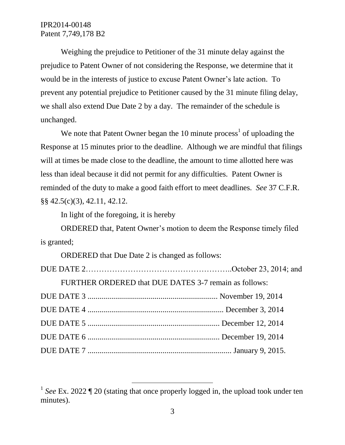### IPR2014-00148 Patent 7,749,178 B2

Weighing the prejudice to Petitioner of the 31 minute delay against the prejudice to Patent Owner of not considering the Response, we determine that it would be in the interests of justice to excuse Patent Owner's late action. To prevent any potential prejudice to Petitioner caused by the 31 minute filing delay, we shall also extend Due Date 2 by a day. The remainder of the schedule is unchanged.

We note that Patent Owner began the  $10$  minute process<sup>1</sup> of uploading the Response at 15 minutes prior to the deadline. Although we are mindful that filings will at times be made close to the deadline, the amount to time allotted here was less than ideal because it did not permit for any difficulties. Patent Owner is reminded of the duty to make a good faith effort to meet deadlines. *See* 37 C.F.R. §§ 42.5(c)(3), 42.11, 42.12.

In light of the foregoing, it is hereby

ORDERED that, Patent Owner's motion to deem the Response timely filed is granted;

ORDERED that Due Date 2 is changed as follows:

 $\overline{a}$ 

FURTHER ORDERED that DUE DATES 3-7 remain as follows: DUE DATE 3 .................................................................. November 19, 2014 DUE DATE 4 ..................................................................... December 3, 2014 DUE DATE 5 ................................................................... December 12, 2014 DUE DATE 6 ................................................................... December 19, 2014

DUE DATE 7 ......................................................................... January 9, 2015.

<sup>&</sup>lt;sup>1</sup> See Ex. 2022 ¶ 20 (stating that once properly logged in, the upload took under ten minutes).